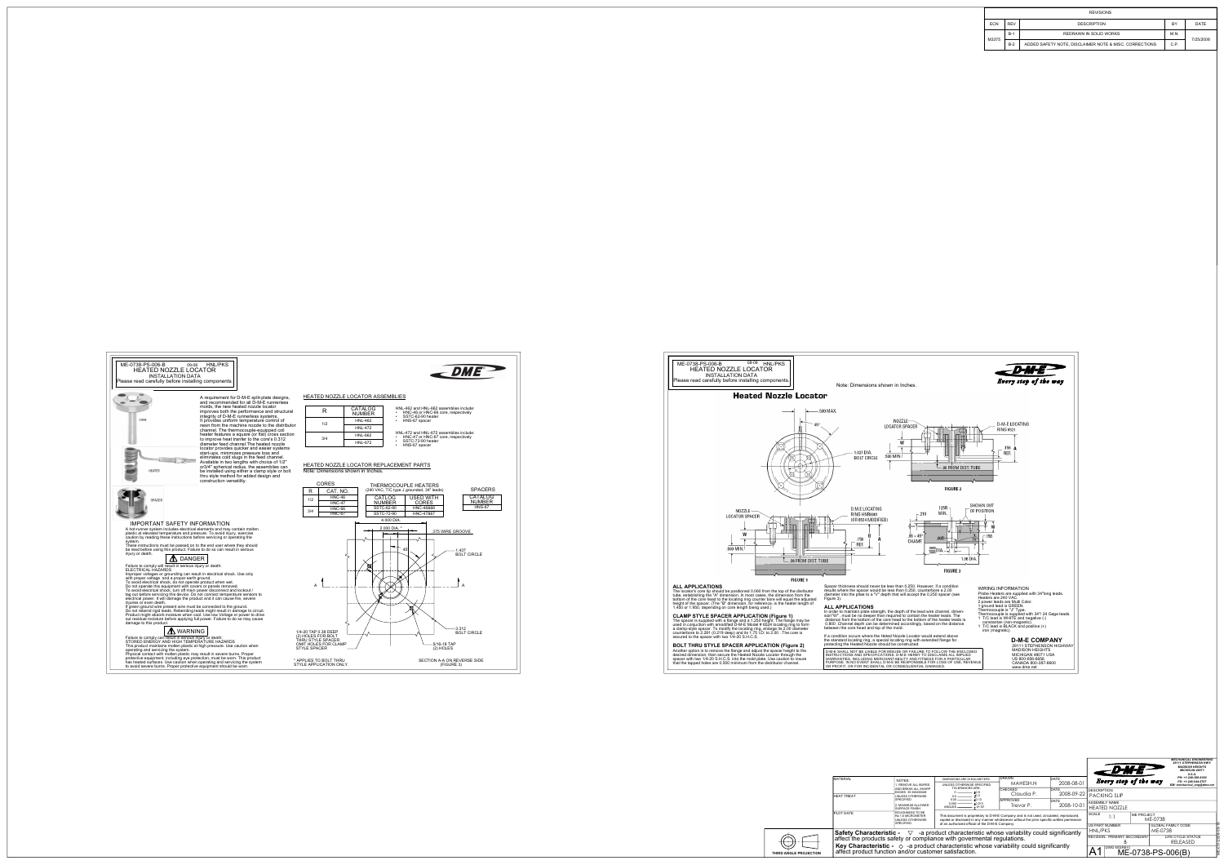



CORE

**HEATER** 

construction versatility. thru style method for added design and be installed using either a clamp style or bolt or3/4" spherical radius, the assemblies can Available in two lengths with choice of 1/2" eliminates cold slugs in the feed channel. start-ups, minimizes preesure loss and resin from the machine nozzle to the distributorchannel. The thermocouple-equipped coil locator provides quicker and easier systems diameter feed channel.The heated nozzleto improve heat tranfer to the core's 0.312 heater features a square (or flat) cross section

integrity of D-M-E runnerless systems.

molds, the new heated nozzle locator improves both the performance and structural

It provides uniform temperature control of

A requirement for D-M-E split-plate designs, and recommended for all D-M-E runnerless



#### IMPORTANT SAFETY INFORMATION

 A hot-runner system includes electrical elements and may contain molten plastic at elevated temperature and pressure. To avoid injury, exercise caution by reading these instructions before servicing or operating the system.

These instructions must be passed on to the end user where they should be read before using this product. Failure to do so can result in serious injury or death.



Failure to comply will result in serious injury or death: ELECTRICAL HAZARDS

Improper voltages or grounding can result in electrical shock. Use only<br>with proper voltage and a proper earth ground.<br>To avoid electrical shock, do not operate product when wet.<br>Do not operate this equipment with covers o

tag out before servicing this device. Do not connect temperature sensors to electrical power. It will damage the product and it can cause fire, severe injuries or even death.

out residual moisture before applying full power. Failure to do so may cause If green ground wire present wire must be connected to the ground. Do not rebend rigid leads. Rebending leads might result in damage to circuit. Product might absorb moisture when cool. Use low Voltage or power to drive damage to this product.

# WARNING

Failure to comply can result in serious injury or death: STORED ENERGY AND HIGH TEMPERATURE HAZARDS This product maintains molten plastic at high pressure. Use caution when operating and servicing the system.

Physical contact with molten plastic may result in severe burns. Proper protective equipment, including eye protection, must be worn. This product has heated surfaces. Use caution when operating and servicing the system to avoid severe burns. Proper protective equipment should be worn.

#### HEATED NOZZLE LOCATOR ASSEMBLIES

| R   | CATALOG<br><b>NUMBER</b> |
|-----|--------------------------|
| 1/2 | <b>HNL-462</b>           |
|     | <b>HNI -472</b>          |
| 3/4 | <b>HNL-662</b>           |
|     | <b>HNL-672</b>           |

#### HNL-462 and HNL-662 assemblies include:

•HNC-46 or HNC-66 core, respectively

- •SSTC-62-90 heater
- HNS-67 spacer

HNL-472 and HNL-672 assemblies include:

HNC-47 or HNC-67 core, respectively

SSTC-72-90 heater

HNS-67 spacer •

•

#### HEATED NOZZLE LOCATOR REPLACEMENT PARTS

Note: Dimensions shown in Inches.